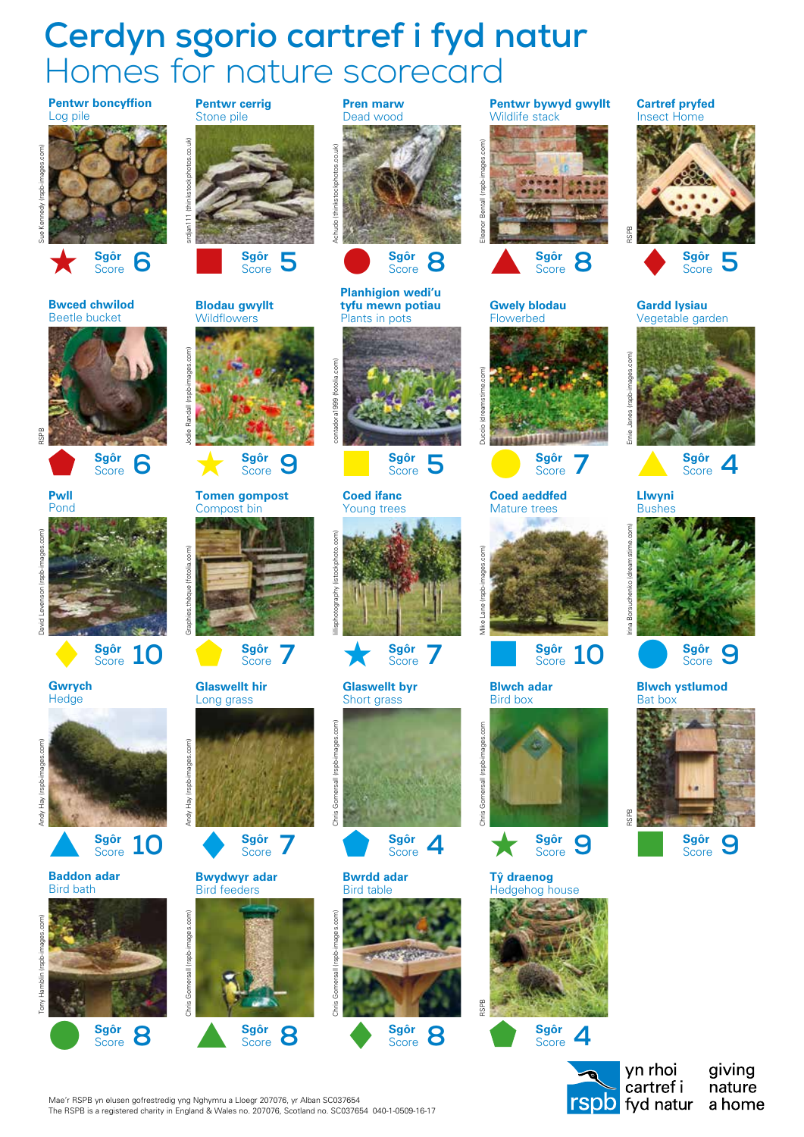## **Cerdyn sgorio cartref i fyd natur** Homes for nature scorecard



a home

Mae'r RSPB yn elusen gofrestredig yng Nghymru a Lloegr 207076, yr Alban SC037654 The RSPB is a registered charity in England & Wales no. 207076, Scotland no. SC037654 040-1-0509-16-17